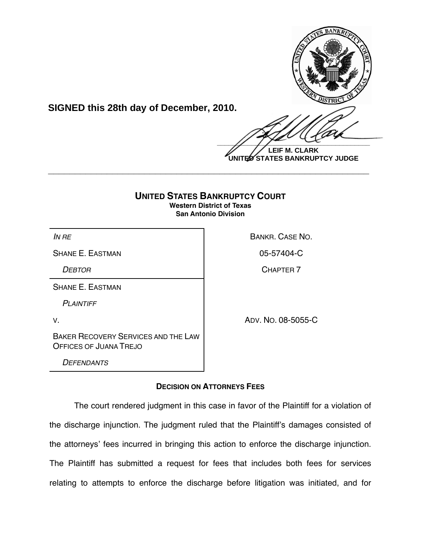

**SIGNED this 28th day of December, 2010.**

 $\frac{1}{2}$ 

**LEIF M. CLARK UNITED STATES BANKRUPTCY JUDGE**

## **UNITED STATES BANKRUPTCY COURT Western District of Texas San Antonio Division**

**\_\_\_\_\_\_\_\_\_\_\_\_\_\_\_\_\_\_\_\_\_\_\_\_\_\_\_\_\_\_\_\_\_\_\_\_\_\_\_\_\_\_\_\_\_\_\_\_\_\_\_\_\_\_\_\_\_\_\_\_**

SHANE E. EASTMAN CHARGE AND SHANE E. EASTMAN

SHANE E. EASTMAN

*PLAINTIFF*

V. ADV. NO. 08-5055-C

*IN RE* **BANKR. CASE NO.** 

*DEBTOR* CHAPTER 7

BAKER RECOVERY SERVICES AND THE LAW OFFICES OF JUANA TREJO

*DEFENDANTS*

# **DECISION ON ATTORNEYS FEES**

The court rendered judgment in this case in favor of the Plaintiff for a violation of the discharge injunction. The judgment ruled that the Plaintiff's damages consisted of the attorneys' fees incurred in bringing this action to enforce the discharge injunction. The Plaintiff has submitted a request for fees that includes both fees for services relating to attempts to enforce the discharge before litigation was initiated, and for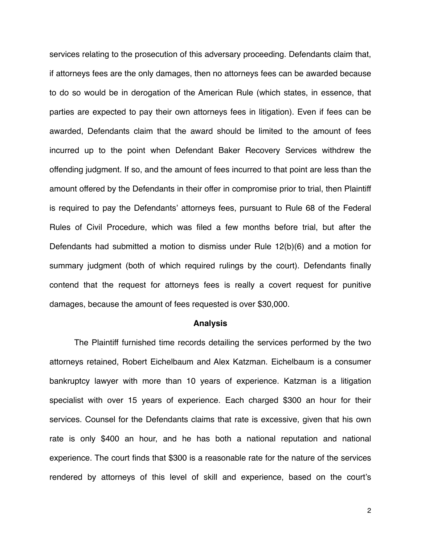services relating to the prosecution of this adversary proceeding. Defendants claim that, if attorneys fees are the only damages, then no attorneys fees can be awarded because to do so would be in derogation of the American Rule (which states, in essence, that parties are expected to pay their own attorneys fees in litigation). Even if fees can be awarded, Defendants claim that the award should be limited to the amount of fees incurred up to the point when Defendant Baker Recovery Services withdrew the offending judgment. If so, and the amount of fees incurred to that point are less than the amount offered by the Defendants in their offer in compromise prior to trial, then Plaintiff is required to pay the Defendants' attorneys fees, pursuant to Rule 68 of the Federal Rules of Civil Procedure, which was filed a few months before trial, but after the Defendants had submitted a motion to dismiss under Rule 12(b)(6) and a motion for summary judgment (both of which required rulings by the court). Defendants finally contend that the request for attorneys fees is really a covert request for punitive damages, because the amount of fees requested is over \$30,000.

#### **Analysis**

The Plaintiff furnished time records detailing the services performed by the two attorneys retained, Robert Eichelbaum and Alex Katzman. Eichelbaum is a consumer bankruptcy lawyer with more than 10 years of experience. Katzman is a litigation specialist with over 15 years of experience. Each charged \$300 an hour for their services. Counsel for the Defendants claims that rate is excessive, given that his own rate is only \$400 an hour, and he has both a national reputation and national experience. The court finds that \$300 is a reasonable rate for the nature of the services rendered by attorneys of this level of skill and experience, based on the court's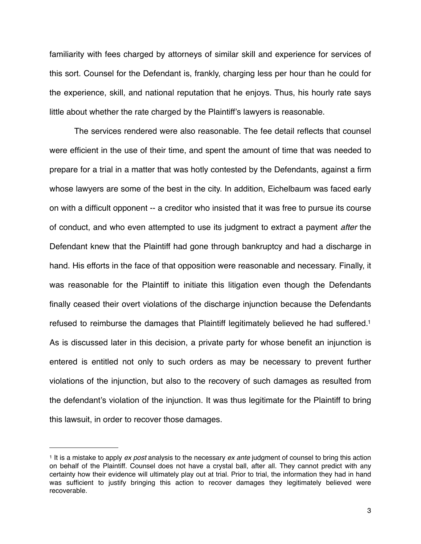familiarity with fees charged by attorneys of similar skill and experience for services of this sort. Counsel for the Defendant is, frankly, charging less per hour than he could for the experience, skill, and national reputation that he enjoys. Thus, his hourly rate says little about whether the rate charged by the Plaintiff's lawyers is reasonable.

The services rendered were also reasonable. The fee detail reflects that counsel were efficient in the use of their time, and spent the amount of time that was needed to prepare for a trial in a matter that was hotly contested by the Defendants, against a firm whose lawyers are some of the best in the city. In addition, Eichelbaum was faced early on with a difficult opponent -- a creditor who insisted that it was free to pursue its course of conduct, and who even attempted to use its judgment to extract a payment *after* the Defendant knew that the Plaintiff had gone through bankruptcy and had a discharge in hand. His efforts in the face of that opposition were reasonable and necessary. Finally, it was reasonable for the Plaintiff to initiate this litigation even though the Defendants finally ceased their overt violations of the discharge injunction because the Defendants refused to reimburse the damages that Plaintiff legitimately believed he had suffered[.1](#page-2-0) As is discussed later in this decision, a private party for whose benefit an injunction is entered is entitled not only to such orders as may be necessary to prevent further violations of the injunction, but also to the recovery of such damages as resulted from the defendant's violation of the injunction. It was thus legitimate for the Plaintiff to bring this lawsuit, in order to recover those damages.

<span id="page-2-0"></span><sup>1</sup> It is a mistake to apply *ex post* analysis to the necessary *ex ante* judgment of counsel to bring this action on behalf of the Plaintiff. Counsel does not have a crystal ball, after all. They cannot predict with any certainty how their evidence will ultimately play out at trial. Prior to trial, the information they had in hand was sufficient to justify bringing this action to recover damages they legitimately believed were recoverable.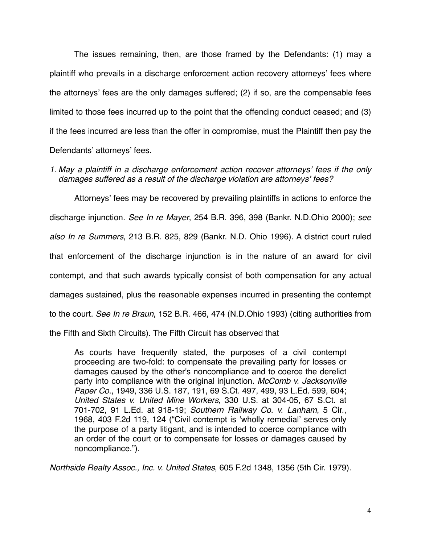The issues remaining, then, are those framed by the Defendants: (1) may a plaintiff who prevails in a discharge enforcement action recovery attorneys' fees where the attorneys' fees are the only damages suffered; (2) if so, are the compensable fees limited to those fees incurred up to the point that the offending conduct ceased; and (3) if the fees incurred are less than the offer in compromise, must the Plaintiff then pay the Defendants' attorneys' fees.

*1. May a plaintiff in a discharge enforcement action recover attorneys*' *fees if the only damages suffered as a result of the discharge violation are attorneys*' *fees?*

Attorneys' fees may be recovered by prevailing plaintiffs in actions to enforce the discharge injunction. *See In re Mayer*, 254 B.R. 396, 398 (Bankr. N.D.Ohio 2000); *see also In re Summers*, 213 B.R. 825, 829 (Bankr. N.D. Ohio 1996). A district court ruled that enforcement of the discharge injunction is in the nature of an award for civil contempt, and that such awards typically consist of both compensation for any actual damages sustained, plus the reasonable expenses incurred in presenting the contempt to the court. *See In re Braun*, 152 B.R. 466, 474 (N.D.Ohio 1993) (citing authorities from the Fifth and Sixth Circuits). The Fifth Circuit has observed that

As courts have frequently stated, the purposes of a civil contempt proceeding are two-fold: to compensate the prevailing party for losses or damages caused by the other's noncompliance and to coerce the derelict party into compliance with the original injunction. *[McComb v. Jacksonville](http://web2.westlaw.com/find/default.wl?referencepositiontype=S&serialnum=1949117743&referenceposition=499&rp=%2ffind%2fdefault.wl&sv=Split&rs=WLW10.10&db=708&tf=-1&findtype=Y&fn=_top&mt=Westlaw&vr=2.0&pbc=12030370&tc=-1&ordoc=1979114605) Paper Co*[., 1949, 336 U.S. 187, 191, 69 S.Ct. 497, 499, 93 L.Ed. 599, 604;](http://web2.westlaw.com/find/default.wl?referencepositiontype=S&serialnum=1949117743&referenceposition=499&rp=%2ffind%2fdefault.wl&sv=Split&rs=WLW10.10&db=708&tf=-1&findtype=Y&fn=_top&mt=Westlaw&vr=2.0&pbc=12030370&tc=-1&ordoc=1979114605) *[United States v. United Mine Workers](http://web2.westlaw.com/find/default.wl?referencepositiontype=S&serialnum=1947117424&referenceposition=701&rp=%2ffind%2fdefault.wl&sv=Split&rs=WLW10.10&db=708&tf=-1&findtype=Y&fn=_top&mt=Westlaw&vr=2.0&pbc=12030370&tc=-1&ordoc=1979114605)*, 330 U.S. at 304-05, 67 S.Ct. at [701-702, 91 L.Ed. at 918-19;](http://web2.westlaw.com/find/default.wl?referencepositiontype=S&serialnum=1947117424&referenceposition=701&rp=%2ffind%2fdefault.wl&sv=Split&rs=WLW10.10&db=708&tf=-1&findtype=Y&fn=_top&mt=Westlaw&vr=2.0&pbc=12030370&tc=-1&ordoc=1979114605) *[Southern Railway Co. v. Lanham](http://web2.westlaw.com/find/default.wl?referencepositiontype=S&serialnum=1968119635&referenceposition=124&rp=%2ffind%2fdefault.wl&sv=Split&rs=WLW10.10&db=350&tf=-1&findtype=Y&fn=_top&mt=Westlaw&vr=2.0&pbc=12030370&tc=-1&ordoc=1979114605)*, 5 Cir., [1968, 403 F.2d 119, 124](http://web2.westlaw.com/find/default.wl?referencepositiontype=S&serialnum=1968119635&referenceposition=124&rp=%2ffind%2fdefault.wl&sv=Split&rs=WLW10.10&db=350&tf=-1&findtype=Y&fn=_top&mt=Westlaw&vr=2.0&pbc=12030370&tc=-1&ordoc=1979114605) ("Civil contempt is ʻwholly remedial' serves only the purpose of a party litigant, and is intended to coerce compliance with an order of the court or to compensate for losses or damages caused by noncompliance.").

*Northside Realty Assoc., Inc. v. United States*, 605 F.2d 1348, 1356 (5th Cir. 1979).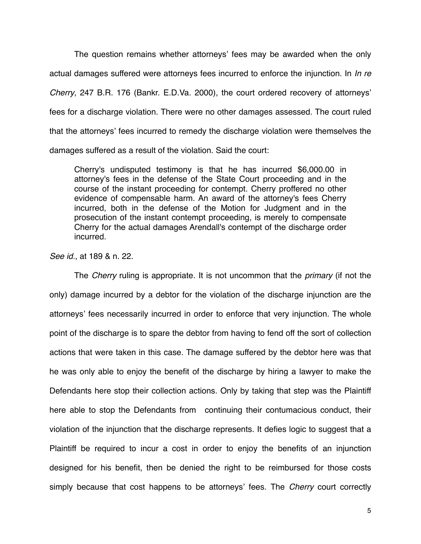The question remains whether attorneys' fees may be awarded when the only actual damages suffered were attorneys fees incurred to enforce the injunction. In *In re Cherry*, 247 B.R. 176 (Bankr. E.D.Va. 2000), the court ordered recovery of attorneys' fees for a discharge violation. There were no other damages assessed. The court ruled that the attorneys' fees incurred to remedy the discharge violation were themselves the damages suffered as a result of the violation. Said the court:

Cherry's undisputed testimony is that he has incurred \$6,000.00 in attorney's fees in the defense of the State Court proceeding and in the course of the instant proceeding for contempt. Cherry proffered no other evidence of compensable harm. An award of the attorney's fees Cherry incurred, both in the defense of the Motion for Judgment and in the prosecution of the instant contempt proceeding, is merely to compensate Cherry for the actual damages Arendall's contempt of the discharge order incurred.

*See id.*, at 189 & n. 22.

The *Cherry* ruling is appropriate. It is not uncommon that the *primary* (if not the only) damage incurred by a debtor for the violation of the discharge injunction are the attorneys' fees necessarily incurred in order to enforce that very injunction. The whole point of the discharge is to spare the debtor from having to fend off the sort of collection actions that were taken in this case. The damage suffered by the debtor here was that he was only able to enjoy the benefit of the discharge by hiring a lawyer to make the Defendants here stop their collection actions. Only by taking that step was the Plaintiff here able to stop the Defendants from continuing their contumacious conduct, their violation of the injunction that the discharge represents. It defies logic to suggest that a Plaintiff be required to incur a cost in order to enjoy the benefits of an injunction designed for his benefit, then be denied the right to be reimbursed for those costs simply because that cost happens to be attorneys' fees. The *Cherry* court correctly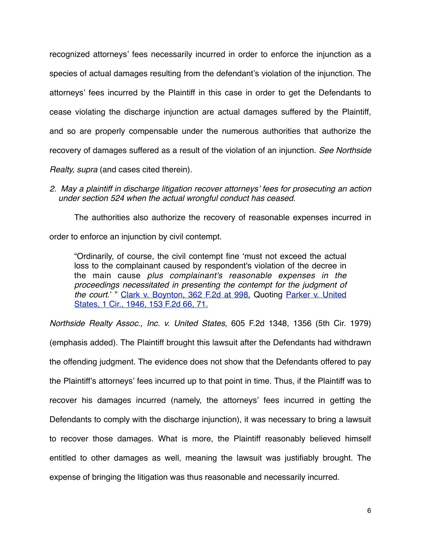recognized attorneys' fees necessarily incurred in order to enforce the injunction as a species of actual damages resulting from the defendant's violation of the injunction. The attorneys' fees incurred by the Plaintiff in this case in order to get the Defendants to cease violating the discharge injunction are actual damages suffered by the Plaintiff, and so are properly compensable under the numerous authorities that authorize the recovery of damages suffered as a result of the violation of an injunction. *See Northside* 

*Realty, supra* (and cases cited therein).

*2. May a plaintiff in discharge litigation recover attorneys*' *fees for prosecuting an action under section 524 when the actual wrongful conduct has ceased*.

The authorities also authorize the recovery of reasonable expenses incurred in order to enforce an injunction by civil contempt.

"Ordinarily, of course, the civil contempt fine ʻmust not exceed the actual loss to the complainant caused by respondent's violation of the decree in the main cause *plus complainant's reasonable expenses in the proceedings necessitated in presenting the contempt for the judgment of the court*.' " [Clark v. Boynton, 362 F.2d at 998,](http://web2.westlaw.com/find/default.wl?tf=-1&rs=WLW10.10&referencepositiontype=S&serialnum=1966100979&fn=_top%2c_top&sv=Split&referenceposition=998&pbc=61F2D8AC&tc=-1&ordoc=1979114605&findtype=Y&db=350&vr=2.0&rp=%2ffind%2fdefault.wl&mt=Westlaw) Quoting [Parker v. United](http://web2.westlaw.com/find/default.wl?tf=-1&rs=WLW10.10&referencepositiontype=S&serialnum=1946114652&fn=_top%2c_top&sv=Split&referenceposition=71&pbc=61F2D8AC&tc=-1&ordoc=1979114605&findtype=Y&db=350&vr=2.0&rp=%2ffind%2fdefault.wl&mt=Westlaw) [States, 1 Cir., 1946, 153 F.2d 66, 71.](http://web2.westlaw.com/find/default.wl?tf=-1&rs=WLW10.10&referencepositiontype=S&serialnum=1946114652&fn=_top%2c_top&sv=Split&referenceposition=71&pbc=61F2D8AC&tc=-1&ordoc=1979114605&findtype=Y&db=350&vr=2.0&rp=%2ffind%2fdefault.wl&mt=Westlaw)

*Northside Realty Assoc., Inc. v. United States*, 605 F.2d 1348, 1356 (5th Cir. 1979)

(emphasis added). The Plaintiff brought this lawsuit after the Defendants had withdrawn the offending judgment. The evidence does not show that the Defendants offered to pay the Plaintiff's attorneys' fees incurred up to that point in time. Thus, if the Plaintiff was to recover his damages incurred (namely, the attorneys' fees incurred in getting the Defendants to comply with the discharge injunction), it was necessary to bring a lawsuit to recover those damages. What is more, the Plaintiff reasonably believed himself entitled to other damages as well, meaning the lawsuit was justifiably brought. The expense of bringing the litigation was thus reasonable and necessarily incurred.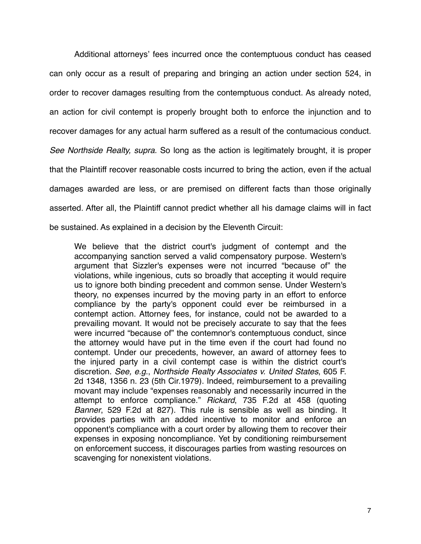Additional attorneys' fees incurred once the contemptuous conduct has ceased can only occur as a result of preparing and bringing an action under section 524, in order to recover damages resulting from the contemptuous conduct. As already noted, an action for civil contempt is properly brought both to enforce the injunction and to recover damages for any actual harm suffered as a result of the contumacious conduct. *See Northside Realty, supra.* So long as the action is legitimately brought, it is proper that the Plaintiff recover reasonable costs incurred to bring the action, even if the actual damages awarded are less, or are premised on different facts than those originally asserted. After all, the Plaintiff cannot predict whether all his damage claims will in fact be sustained. As explained in a decision by the Eleventh Circuit:

We believe that the district court's judgment of contempt and the accompanying sanction served a valid compensatory purpose. Western's argument that Sizzler's expenses were not incurred "because of" the violations, while ingenious, cuts so broadly that accepting it would require us to ignore both binding precedent and common sense. Under Western's theory, no expenses incurred by the moving party in an effort to enforce compliance by the party's opponent could ever be reimbursed in a contempt action. Attorney fees, for instance, could not be awarded to a prevailing movant. It would not be precisely accurate to say that the fees were incurred "because of" the contemnor's contemptuous conduct, since the attorney would have put in the time even if the court had found no contempt. Under our precedents, however, an award of attorney fees to the injured party in a civil contempt case is within the district court's discretion. *See, e.g*., *[Northside Realty Associates v. United States](http://web2.westlaw.com/find/default.wl?tf=-1&rs=WLW10.10&referencepositiontype=S&serialnum=1979114605&fn=_top%2c_top&sv=Split&referenceposition=1356&pbc=CDA4B434&tc=-1&ordoc=1986135164&findtype=Y&db=350&vr=2.0&rp=%2ffind%2fdefault.wl&mt=Westlaw)*, 605 F. [2d 1348, 1356 n. 23 \(5th Cir.1979\).](http://web2.westlaw.com/find/default.wl?tf=-1&rs=WLW10.10&referencepositiontype=S&serialnum=1979114605&fn=_top%2c_top&sv=Split&referenceposition=1356&pbc=CDA4B434&tc=-1&ordoc=1986135164&findtype=Y&db=350&vr=2.0&rp=%2ffind%2fdefault.wl&mt=Westlaw) Indeed, reimbursement to a prevailing movant may include "expenses reasonably and necessarily incurred in the attempt to enforce compliance." *Rickard*[, 735 F.2d at 458](http://web2.westlaw.com/find/default.wl?tf=-1&rs=WLW10.10&referencepositiontype=S&serialnum=1984129086&fn=_top%2c_top&sv=Split&referenceposition=458&pbc=CDA4B434&tc=-1&ordoc=1986135164&findtype=Y&db=350&vr=2.0&rp=%2ffind%2fdefault.wl&mt=Westlaw) (quoting *Banner*[, 529 F.2d at 827\).](http://web2.westlaw.com/find/default.wl?tf=-1&rs=WLW10.10&referencepositiontype=S&serialnum=1976145115&fn=_top%2c_top&sv=Split&referenceposition=827&pbc=CDA4B434&tc=-1&ordoc=1986135164&findtype=Y&db=350&vr=2.0&rp=%2ffind%2fdefault.wl&mt=Westlaw) This rule is sensible as well as binding. It provides parties with an added incentive to monitor and enforce an opponent's compliance with a court order by allowing them to recover their expenses in exposing noncompliance. Yet by conditioning reimbursement on enforcement success, it discourages parties from wasting resources on scavenging for nonexistent violations.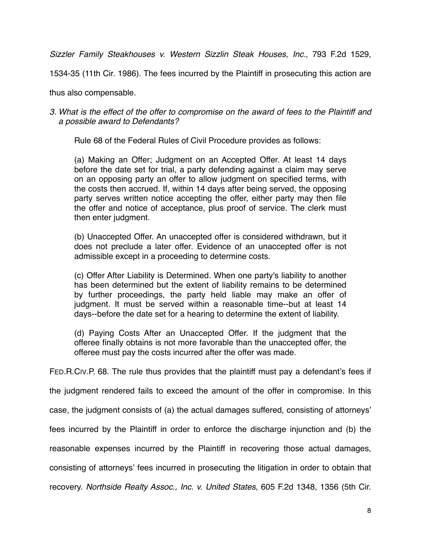*Sizzler Family Steakhouses v. Western Sizzlin Steak Houses, Inc.*, 793 F.2d 1529,

1534-35 (11th Cir. 1986). The fees incurred by the Plaintiff in prosecuting this action are

thus also compensable.

### *3. What is the effect of the offer to compromise on the award of fees to the Plaintiff and a possible award to Defendants?*

Rule 68 of the Federal Rules of Civil Procedure provides as follows:

(a) Making an Offer; Judgment on an Accepted Offer. At least 14 days before the date set for trial, a party defending against a claim may serve on an opposing party an offer to allow judgment on specified terms, with the costs then accrued. If, within 14 days after being served, the opposing party serves written notice accepting the offer, either party may then file the offer and notice of acceptance, plus proof of service. The clerk must then enter judgment.

(b) Unaccepted Offer. An unaccepted offer is considered withdrawn, but it does not preclude a later offer. Evidence of an unaccepted offer is not admissible except in a proceeding to determine costs.

(c) Offer After Liability is Determined. When one party's liability to another has been determined but the extent of liability remains to be determined by further proceedings, the party held liable may make an offer of judgment. It must be served within a reasonable time--but at least 14 days--before the date set for a hearing to determine the extent of liability.

(d) Paying Costs After an Unaccepted Offer. If the judgment that the offeree finally obtains is not more favorable than the unaccepted offer, the offeree must pay the costs incurred after the offer was made.

FED.R.CIV.P. 68. The rule thus provides that the plaintiff must pay a defendant's fees if

the judgment rendered fails to exceed the amount of the offer in compromise. In this

case, the judgment consists of (a) the actual damages suffered, consisting of attorneys'

fees incurred by the Plaintiff in order to enforce the discharge injunction and (b) the

reasonable expenses incurred by the Plaintiff in recovering those actual damages,

consisting of attorneys' fees incurred in prosecuting the litigation in order to obtain that

recovery. *Northside Realty Assoc., Inc. v. United States*, 605 F.2d 1348, 1356 (5th Cir.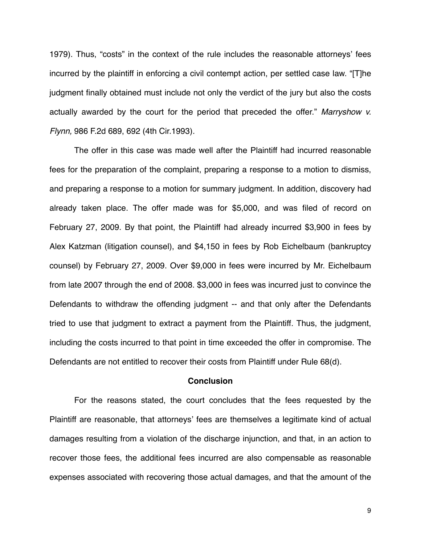1979). Thus, "costs" in the context of the rule includes the reasonable attorneys' fees incurred by the plaintiff in enforcing a civil contempt action, per settled case law. "[T]he judgment finally obtained must include not only the verdict of the jury but also the costs actually awarded by the court for the period that preceded the offer." *[Marryshow v.](http://web2.westlaw.com/find/default.wl?referencepositiontype=S&serialnum=1993042549&referenceposition=692&rp=%2ffind%2fdefault.wl&sv=Split&rs=WLW10.10&db=350&tf=-1&findtype=Y&fn=_top&mt=Westlaw&vr=2.0&pbc=E2F2AE86&tc=-1&ordoc=2016670212) Flynn,* [986 F.2d 689, 692 \(4th Cir.1993\)](http://web2.westlaw.com/find/default.wl?referencepositiontype=S&serialnum=1993042549&referenceposition=692&rp=%2ffind%2fdefault.wl&sv=Split&rs=WLW10.10&db=350&tf=-1&findtype=Y&fn=_top&mt=Westlaw&vr=2.0&pbc=E2F2AE86&tc=-1&ordoc=2016670212)*.*

The offer in this case was made well after the Plaintiff had incurred reasonable fees for the preparation of the complaint, preparing a response to a motion to dismiss, and preparing a response to a motion for summary judgment. In addition, discovery had already taken place. The offer made was for \$5,000, and was filed of record on February 27, 2009. By that point, the Plaintiff had already incurred \$3,900 in fees by Alex Katzman (litigation counsel), and \$4,150 in fees by Rob Eichelbaum (bankruptcy counsel) by February 27, 2009. Over \$9,000 in fees were incurred by Mr. Eichelbaum from late 2007 through the end of 2008. \$3,000 in fees was incurred just to convince the Defendants to withdraw the offending judgment -- and that only after the Defendants tried to use that judgment to extract a payment from the Plaintiff. Thus, the judgment, including the costs incurred to that point in time exceeded the offer in compromise. The Defendants are not entitled to recover their costs from Plaintiff under Rule 68(d).

#### **Conclusion**

For the reasons stated, the court concludes that the fees requested by the Plaintiff are reasonable, that attorneys' fees are themselves a legitimate kind of actual damages resulting from a violation of the discharge injunction, and that, in an action to recover those fees, the additional fees incurred are also compensable as reasonable expenses associated with recovering those actual damages, and that the amount of the

9